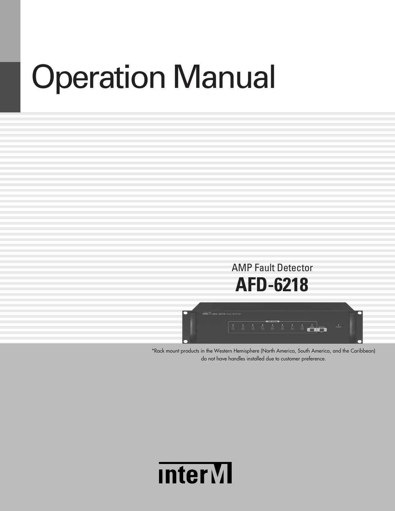# **Operation Manual**

# AMP Fault Detector **AFD-6218**



\*Rack mount products in the Western Hemisphere (North America, South America, and the Caribbean) do not have handles installed due to customer preference.

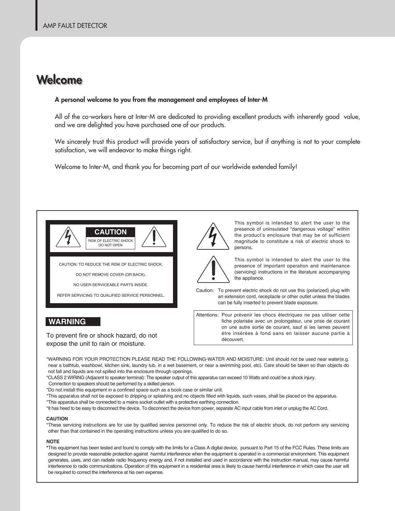## **Welcome**

#### **A personal welcome to you from the management and employees of Inter-M**

All of the co-workers here at Inter-M are dedicated to providing excellent products with inherently good value, and we are delighted you have purchased one of our products.

We sincerely trust this product will provide years of satisfactory service, but if anything is not to your complete satisfaction, we will endeavor to make things right.

Welcome to Inter-M, and thank you for becoming part of our worldwide extended family!



CAUTION: TO REDUCE THE RISK OF ELECTRIC SHOCK.

DO NOT REMOVE COVER (OR BACK).

NO USER-SERVICEABLE PARTS INSIDE.

REFER SERVICING TO QUALIFIED SERVICE PERSONNEL.

#### **WARNING**

To prevent fire or shock hazard, do not expose the unit to rain or moisture.



This symbol is intended to alert the user to the presence of uninsulated "dangerous voltage" within the product's enclosure that may be of sufficient magnitude to constitute a risk of electric shock to persons.



This symbol is intended to alert the user to the presence of important operation and maintenance (servicing) instructions in the literature accompanying the appliance.

Caution: To prevent electric shock do not use this (polarized) plug with an extension cord, receptacle or other outlet unless the blades can be fully inserted to prevent blade exposure.

Attentions: Pour prévenir les chocs électriques ne pas utiliser cette fiche polarisée avec un prolongateur, une prise de courant on une autre sortie de courant, sauf si les lames peuvent étre insérées à fond sans en laisser aucune partie à découvert.

\*WARNING FOR YOUR PROTECTION PLEASE READ THE FOLLOWING-WATER AND MOISTURE: Unit should not be used near water(e.g. near a bathtub, washbowl, kitchen sink, laundry tub, in a wet basement, or near a swimming pool, etc). Care should be taken so than objects do not fall and liquids are not spilled into the enclosure through openings.

\*CLASS 2 WIRING (Adjacent to speaker terminal): The speaker output of this apparatus can exceed 10 Watts and could be a shock injury.

Connection to speakers should be performed by a skilled person.

\*Do not install this equipment in a confined space such as a book case or similar unit.

\*This apparatus shall not be exposed to dripping or splashing and no objects filled with liquids, such vases, shall be placed on the apparatus. \*This apparatus shall be connected to a mains socket outlet with a protective earthing connection.

\*It has heed to be easy to disconnect the device. To disconnect the device from power, separate AC input cable from inlet or unplug the AC Cord.

#### **CAutION**

\*These servicing instructions are for use by qualified service personnel only. To reduce the risk of electric shock, do not perform any servicing other than that contained in the operating instructions unless you are qualified to do so.

#### **NOtE**

**\***This equipment has been tested and found to comply with the limits for a Class A digital device, pursuant to Part 15 of the FCC Rules. These limits are designed to provide reasonable protection against harmful interference when the equipment is operated in a commercial environment. This equipment generates, uses, and can radiate radio frequency energy and, if not installed and used in accordance with the instruction manual, may cause harmful interference to radio communications. Operation of this equipment in a residential area is likely to cause harmful interference in which case the user will be required to correct the interference at his own expense.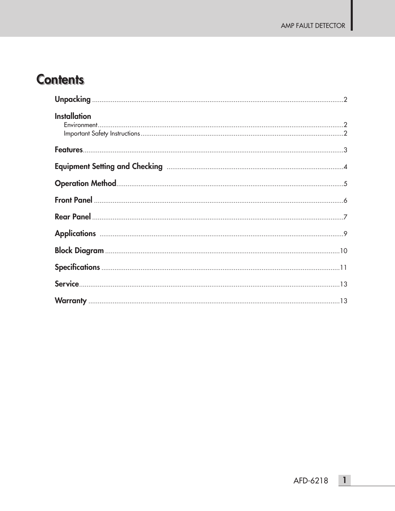ı

# **Contents**

| <b>Installation</b> |  |
|---------------------|--|
|                     |  |
|                     |  |
|                     |  |
|                     |  |
|                     |  |
|                     |  |
|                     |  |
|                     |  |
|                     |  |
|                     |  |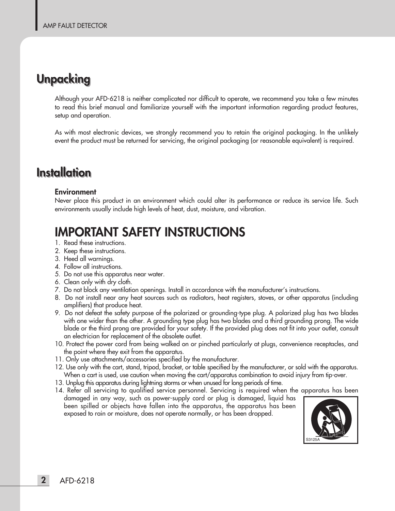# **Unpacking**

Although your AFD-6218 is neither complicated nor difficult to operate, we recommend you take a few minutes to read this brief manual and familiarize yourself with the important information regarding product features, setup and operation.

As with most electronic devices, we strongly recommend you to retain the original packaging. In the unlikely event the product must be returned for servicing, the original packaging (or reasonable equivalent) is required.

# **Installation Installation**

#### **Environment**

Never place this product in an environment which could alter its performance or reduce its service life. Such environments usually include high levels of heat, dust, moisture, and vibration.

# **IMPORTANT SAFETY INSTRUCTIONS**

- 1. Read these instructions.
- 2. Keep these instructions.
- 3. Heed all warnings.
- 4. Follow all instructions.
- 5. Do not use this apparatus near water.
- 6. Clean only with dry cloth.
- 7. Do not block any ventilation openings. Install in accordance with the manufacturer's instructions.
- 8. Do not install near any heat sources such as radiators, heat registers, stoves, or other apparatus (including amplifiers) that produce heat.
- 9. Do not defeat the safety purpose of the polarized or grounding-type plug. A polarized plug has two blades with one wider than the other. A grounding type plug has two blades and a third grounding prong. The wide blade or the third prong are provided for your safety. If the provided plug does not fit into your outlet, consult an electrician for replacement of the obsolete outlet.
- 10. Protect the power cord from being walked on or pinched particularly at plugs, convenience receptacles, and the point where they exit from the apparatus.
- 11. Only use attachments/accessories specified by the manufacturer.
- 12. Use only with the cart, stand, tripod, bracket, or table specified by the manufacturer, or sold with the apparatus. When a cart is used, use caution when moving the cart/apparatus combination to avoid injury from tip-over.
- 13. Unplug this apparatus during lightning storms or when unused for long periods of time.
- 14. Refer all servicing to qualified service personnel. Servicing is required when the apparatus has been damaged in any way, such as power-supply cord or plug is damaged, liquid has been spilled or objects have fallen into the apparatus, the apparatus has been exposed to rain or moisture, does not operate normally, or has been dropped.

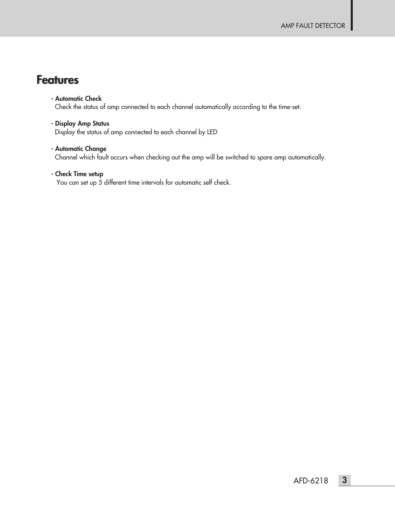### **Features**

#### **- Automatic Check**

Check the status of amp connected to each channel automatically according to the time-set.

**- Display Amp Status** Display the status of amp connected to each channel by LED

#### **- Automatic Change**

Channel which fault occurs when checking out the amp will be switched to spare amp automatically.

#### **- Check Time setup**

You can set up 5 different time intervals for automatic self check.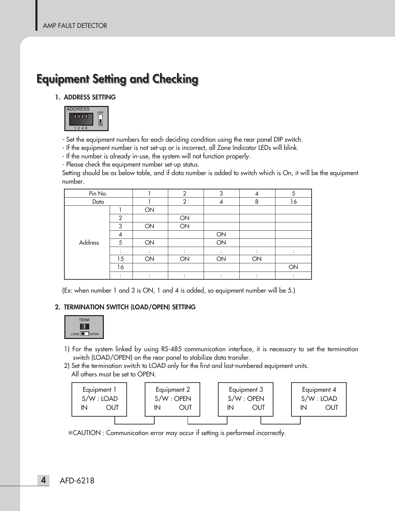# **Equipment Setting and Checking**

#### **1. ADDRESS SETTING**



- Set the equipment numbers for each deciding condition using the rear panel DIP switch.

- If the equipment number is not set-up or is incorrect, all Zone Indicator LEDs will blink.

- If the number is already in-use, the system will not function properly.

- Please check the equipment number set-up status.

Setting should be as below table, and if data number is added to switch which is On, it will be the equipment number.

| Pin No. |                |    | $\mathfrak{D}$ | 3  | 4  | 5  |
|---------|----------------|----|----------------|----|----|----|
| Data    |                |    | $\overline{2}$ |    | 8  | 16 |
|         |                | ON |                |    |    |    |
|         | $\mathfrak{D}$ |    | ON             |    |    |    |
|         | 3              | ON | ON             |    |    |    |
|         | 4              |    |                | ON |    |    |
| Address | 5              | ON |                | ON |    |    |
|         |                |    |                |    |    |    |
|         | 15             | ON | ON             | ON | ON |    |
|         | 16             |    |                |    |    | ON |
|         |                |    |                |    |    |    |

(Ex: when number 1 and 3 is ON, 1 and 4 is added, so equipment number will be 5.)

#### **2. TERMINATION SWITCH (LOAD/OPEN) SETTING**



- 1) For the system linked by using RS-485 communication interface, it is necessary to set the termination switch (LOAD/OPEN) on the rear panel to stabilize data transfer.
- 2) Set the termination switch to LOAD only for the first and last-numbered equipment units. All others must be set to OPEN.



※CAUTION : Communication error may occur if setting is performed incorrectly.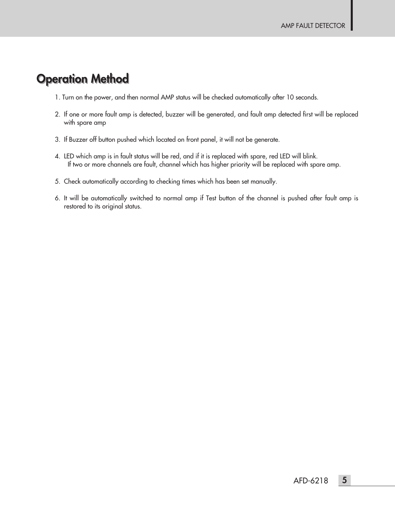### **Operation Method**

- 1. Turn on the power, and then normal AMP status will be checked automatically after 10 seconds.
- 2. If one or more fault amp is detected, buzzer will be generated, and fault amp detected first will be replaced with spare amp
- 3. If Buzzer off button pushed which located on front panel, it will not be generate.
- 4. LED which amp is in fault status will be red, and if it is replaced with spare, red LED will blink. If two or more channels are fault, channel which has higher priority will be replaced with spare amp.
- 5. Check automatically according to checking times which has been set manually.
- 6. It will be automatically switched to normal amp if Test button of the channel is pushed after fault amp is restored to its original status.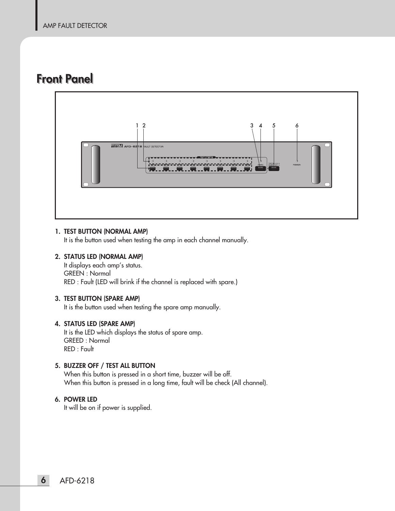### **Front Panel**



#### **1. TEST BUTTON (NORMAL AMP)**

It is the button used when testing the amp in each channel manually.

#### **2. STATUS LED (NORMAL AMP)**

It displays each amp's status. GREEN : Normal RED : Fault (LED will brink if the channel is replaced with spare.)

#### **3. TEST BUTTON (SPARE AMP)**

It is the button used when testing the spare amp manually.

#### **4. STATUS LED (SPARE AMP)**

It is the LED which displays the status of spare amp. GREED : Normal RED : Fault

#### **5. BUZZER OFF / TEST ALL BUTTON**

When this button is pressed in a short time, buzzer will be off. When this button is pressed in a long time, fault will be check (All channel).

#### **6. POWER LED**

It will be on if power is supplied.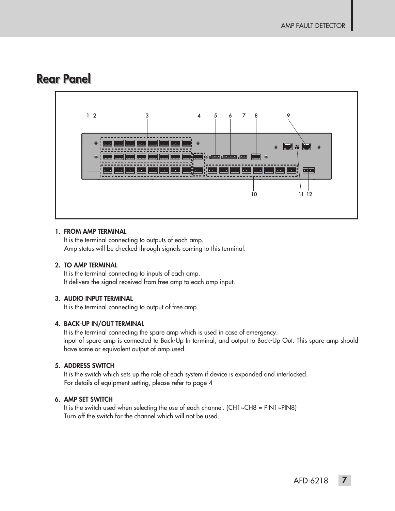### **Rear Panel**



#### **1. FROM AMP TERMINAL**

It is the terminal connecting to outputs of each amp. Amp status will be checked through signals coming to this terminal.

#### **2. TO AMP TERMINAL**

It is the terminal connecting to inputs of each amp. It delivers the signal received from free amp to each amp input.

#### **3. AUDIO INPUT TERMINAL**

It is the terminal connecting to output of free amp.

#### **4. BACK-UP IN/OUT TERMINAL**

It is the terminal connecting the spare amp which is used in case of emergency. Input of spare amp is connected to Back-Up In terminal, and output to Back-Up Out. This spare amp should have same or equivalent output of amp used.

#### **5. ADDRESS SWITCH**

It is the switch which sets up the role of each system if device is expanded and interlocked. For details of equipment setting, please refer to page 4

#### **6. AMP SET SWITCH**

It is the switch used when selecting the use of each channel. (CH1~CH8 = PIN1~PIN8) Turn off the switch for the channel which will not be used.

AFD-6218 **7**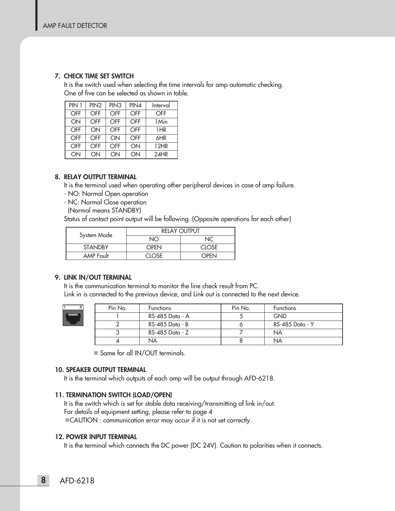#### **7. CHECK TIME SET SWITCH**

It is the switch used when selecting the time intervals for amp automatic checking. One of five can be selected as shown in table.

| PIN 1 | PIN <sub>2</sub> | PIN <sub>3</sub> | PIN4       | Interval   |
|-------|------------------|------------------|------------|------------|
| OFF   | <b>OFF</b>       | OFF              | <b>OFF</b> | <b>OFF</b> |
| ON    | OFF              | OFF              | OFF        | 1 Min      |
| OFF   | ON               | OFF              | OFF        | 1HR        |
| OFF   | OFF              | ON               | OFF        | 6HR        |
| OFF   | OFF              | OFF              | ON         | 12HR       |
| ON    | ON               | ON               | ON         | 24HR       |

#### **8. RELAY OUTPUT TERMINAL**

It is the terminal used when operating other peripheral devices in case of amp failure.

- NO: Normal Open operation
- NC: Normal Close operation
- (Normal means STANDBY)

Status of contact point output will be following. (Opposite operations for each other)

| System Mode    | <b>RELAY OUTPUT</b> |        |  |
|----------------|---------------------|--------|--|
|                | חמ                  |        |  |
| <b>STANDBY</b> | OPEN                | CLOSE. |  |
| AMP Fault      | ∩NSF                | つPFN   |  |

#### **9. LINK IN/OUT TERMINAL**

It is the communication terminal to monitor the line check result from PC. Link in is connected to the previous device, and Link out is connected to the next device.



| Pin No. | <b>Functions</b> | Pin No. | <b>Functions</b> |
|---------|------------------|---------|------------------|
|         | RS-485 Data - A  |         | <b>GND</b>       |
|         | RS-485 Data - B  |         | RS-485 Data - Y  |
|         | RS-485 Data - Z  |         | <b>NA</b>        |
|         | NА               |         | ΝA               |

※ Same for all IN/OUT terminals.

#### **10. SPEAKER OUTPUT TERMINAL**

It is the terminal which outputs of each amp will be output through AFD-6218.

#### **11. TERMINATION SWITCH (LOAD/OPEN)**

It is the switch which is set for stable data receiving/transmitting of link in/out. For details of equipment setting, please refer to page 4 ※CAUTION : communication error may occur if it is not set correctly.

#### **12. POWER INPUT TERMINAL**

It is the terminal which connects the DC power (DC 24V). Caution to polarities when it connects.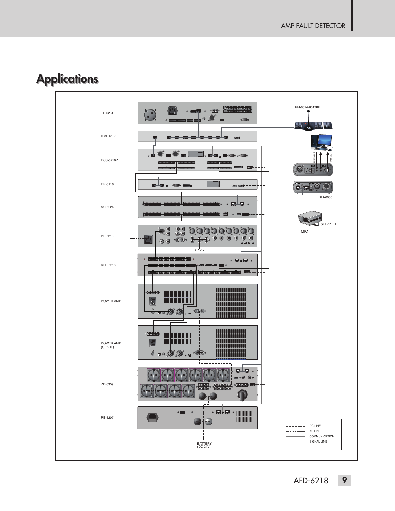

# **Applications**

AFD-6218

9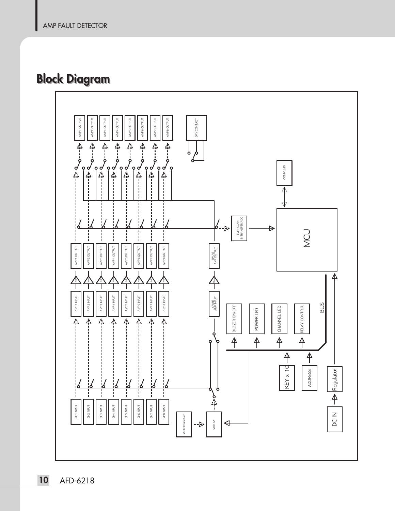# **Block Diagram**

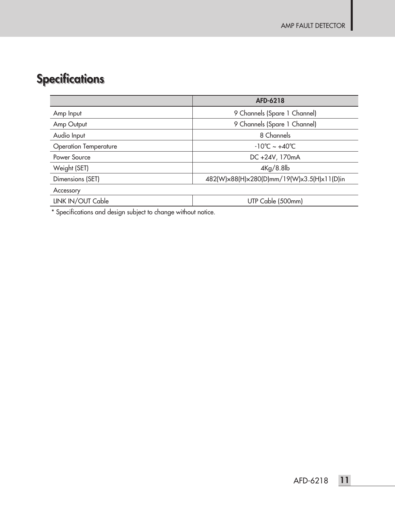# **Specifications**

|                              | AFD-6218                                   |
|------------------------------|--------------------------------------------|
| Amp Input                    | 9 Channels (Spare 1 Channel)               |
| Amp Output                   | 9 Channels (Spare 1 Channel)               |
| Audio Input                  | 8 Channels                                 |
| <b>Operation Temperature</b> | $-10^{\circ}$ C ~ +40 $^{\circ}$ C         |
| Power Source                 | DC +24V, 170mA                             |
| Weight (SET)                 | $4\text{Kg}/8.8\text{lb}$                  |
| Dimensions (SET)             | 482(W)x88(H)x280(D)mm/19(W)x3.5(H)x11(D)in |
| Accessory                    |                                            |
| LINK IN/OUT Cable            | UTP Cable (500mm)                          |

\* Specifications and design subject to change without notice.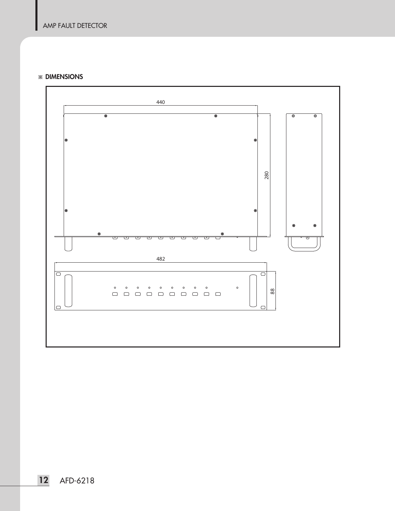#### ※ **DIMENSIONS**

I

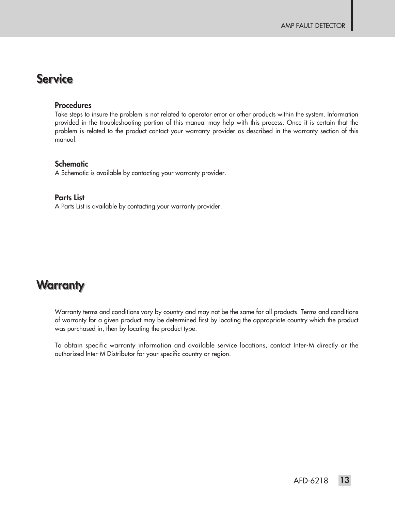### **Service**

#### **Procedures**

Take steps to insure the problem is not related to operator error or other products within the system. Information provided in the troubleshooting portion of this manual may help with this process. Once it is certain that the problem is related to the product contact your warranty provider as described in the warranty section of this manual.

#### **Schematic**

A Schematic is available by contacting your warranty provider.

#### **Parts List**

A Parts List is available by contacting your warranty provider.

### **Warranty**

Warranty terms and conditions vary by country and may not be the same for all products. Terms and conditions of warranty for a given product may be determined first by locating the appropriate country which the product was purchased in, then by locating the product type.

To obtain specific warranty information and available service locations, contact Inter-M directly or the authorized Inter-M Distributor for your specific country or region.